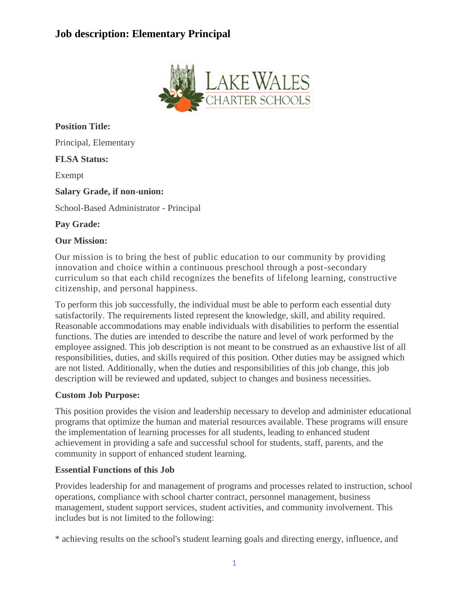

**Position Title:** Principal, Elementary **FLSA Status:** Exempt **Salary Grade, if non-union:** School-Based Administrator - Principal **Pay Grade:**

### **Our Mission:**

Our mission is to bring the best of public education to our community by providing innovation and choice within a continuous preschool through a post-secondary curriculum so that each child recognizes the benefits of lifelong learning, constructive citizenship, and personal happiness.

To perform this job successfully, the individual must be able to perform each essential duty satisfactorily. The requirements listed represent the knowledge, skill, and ability required. Reasonable accommodations may enable individuals with disabilities to perform the essential functions. The duties are intended to describe the nature and level of work performed by the employee assigned. This job description is not meant to be construed as an exhaustive list of all responsibilities, duties, and skills required of this position. Other duties may be assigned which are not listed. Additionally, when the duties and responsibilities of this job change, this job description will be reviewed and updated, subject to changes and business necessities.

#### **Custom Job Purpose:**

This position provides the vision and leadership necessary to develop and administer educational programs that optimize the human and material resources available. These programs will ensure the implementation of learning processes for all students, leading to enhanced student achievement in providing a safe and successful school for students, staff, parents, and the community in support of enhanced student learning.

#### **Essential Functions of this Job**

Provides leadership for and management of programs and processes related to instruction, school operations, compliance with school charter contract, personnel management, business management, student support services, student activities, and community involvement. This includes but is not limited to the following:

\* achieving results on the school's student learning goals and directing energy, influence, and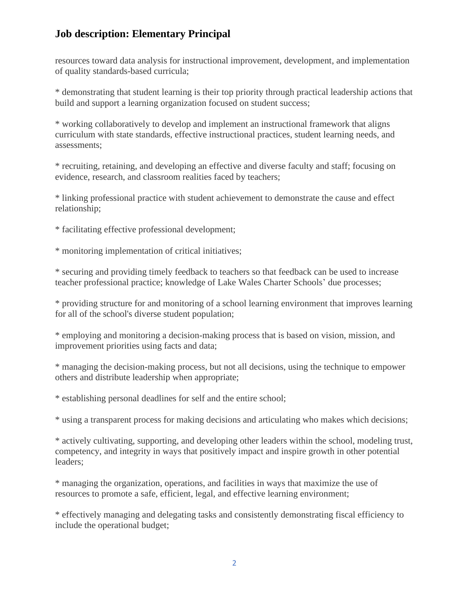resources toward data analysis for instructional improvement, development, and implementation of quality standards-based curricula;

\* demonstrating that student learning is their top priority through practical leadership actions that build and support a learning organization focused on student success;

\* working collaboratively to develop and implement an instructional framework that aligns curriculum with state standards, effective instructional practices, student learning needs, and assessments;

\* recruiting, retaining, and developing an effective and diverse faculty and staff; focusing on evidence, research, and classroom realities faced by teachers;

\* linking professional practice with student achievement to demonstrate the cause and effect relationship;

\* facilitating effective professional development;

\* monitoring implementation of critical initiatives;

\* securing and providing timely feedback to teachers so that feedback can be used to increase teacher professional practice; knowledge of Lake Wales Charter Schools' due processes;

\* providing structure for and monitoring of a school learning environment that improves learning for all of the school's diverse student population;

\* employing and monitoring a decision-making process that is based on vision, mission, and improvement priorities using facts and data;

\* managing the decision-making process, but not all decisions, using the technique to empower others and distribute leadership when appropriate;

\* establishing personal deadlines for self and the entire school;

\* using a transparent process for making decisions and articulating who makes which decisions;

\* actively cultivating, supporting, and developing other leaders within the school, modeling trust, competency, and integrity in ways that positively impact and inspire growth in other potential leaders;

\* managing the organization, operations, and facilities in ways that maximize the use of resources to promote a safe, efficient, legal, and effective learning environment;

\* effectively managing and delegating tasks and consistently demonstrating fiscal efficiency to include the operational budget;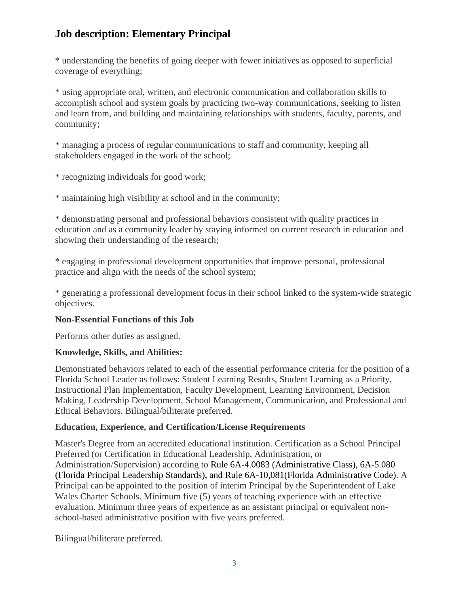\* understanding the benefits of going deeper with fewer initiatives as opposed to superficial coverage of everything;

\* using appropriate oral, written, and electronic communication and collaboration skills to accomplish school and system goals by practicing two-way communications, seeking to listen and learn from, and building and maintaining relationships with students, faculty, parents, and community;

\* managing a process of regular communications to staff and community, keeping all stakeholders engaged in the work of the school;

\* recognizing individuals for good work;

\* maintaining high visibility at school and in the community;

\* demonstrating personal and professional behaviors consistent with quality practices in education and as a community leader by staying informed on current research in education and showing their understanding of the research;

\* engaging in professional development opportunities that improve personal, professional practice and align with the needs of the school system;

\* generating a professional development focus in their school linked to the system-wide strategic objectives.

## **Non-Essential Functions of this Job**

Performs other duties as assigned.

## **Knowledge, Skills, and Abilities:**

Demonstrated behaviors related to each of the essential performance criteria for the position of a Florida School Leader as follows: Student Learning Results, Student Learning as a Priority, Instructional Plan Implementation, Faculty Development, Learning Environment, Decision Making, Leadership Development, School Management, Communication, and Professional and Ethical Behaviors. Bilingual/biliterate preferred.

## **Education, Experience, and Certification/License Requirements**

Master's Degree from an accredited educational institution. Certification as a School Principal Preferred (or Certification in Educational Leadership, Administration, or Administration/Supervision) according to Rule 6A-4.0083 (Administrative Class), 6A-5.080 (Florida Principal Leadership Standards), and Rule 6A-10,081(Florida Administrative Code). A Principal can be appointed to the position of interim Principal by the Superintendent of Lake Wales Charter Schools. Minimum five (5) years of teaching experience with an effective evaluation. Minimum three years of experience as an assistant principal or equivalent nonschool-based administrative position with five years preferred.

Bilingual/biliterate preferred.